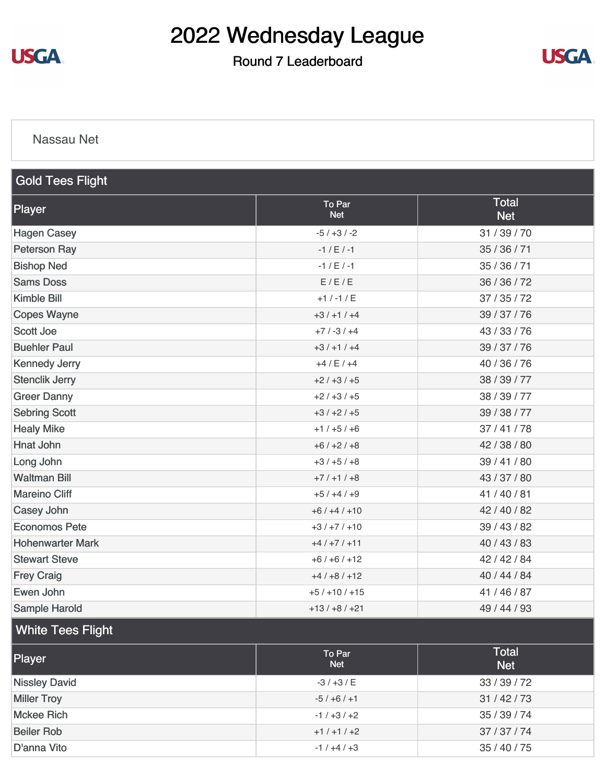

Round 7 Leaderboard



#### [Nassau Net](https://static.golfgenius.com/v2tournaments/8486250815151954441?called_from=&round_index=7)

| <b>Gold Tees Flight</b> |                      |                            |  |  |
|-------------------------|----------------------|----------------------------|--|--|
| Player                  | To Par<br><b>Net</b> | <b>Total</b><br><b>Net</b> |  |  |
| <b>Hagen Casey</b>      | $-5/ +3/ -2$         | 31 / 39 / 70               |  |  |
| <b>Peterson Ray</b>     | $-1 / E / -1$        | 35 / 36 / 71               |  |  |
| <b>Bishop Ned</b>       | $-1 / E / -1$        | 35 / 36 / 71               |  |  |
| <b>Sams Doss</b>        | E/E/E                | 36 / 36 / 72               |  |  |
| <b>Kimble Bill</b>      | $+1$ / -1 / E        | 37/35/72                   |  |  |
| <b>Copes Wayne</b>      | $+3/+1/+4$           | 39 / 37 / 76               |  |  |
| <b>Scott Joe</b>        | $+7/ -3/ +4$         | 43 / 33 / 76               |  |  |
| <b>Buehler Paul</b>     | $+3/+1/+4$           | 39 / 37 / 76               |  |  |
| <b>Kennedy Jerry</b>    | $+4/ E/ +4$          | 40 / 36 / 76               |  |  |
| <b>Stenclik Jerry</b>   | $+2/+3/+5$           | 38 / 39 / 77               |  |  |
| <b>Greer Danny</b>      | $+2/+3/+5$           | 38 / 39 / 77               |  |  |
| <b>Sebring Scott</b>    | $+3/+2/+5$           | 39 / 38 / 77               |  |  |
| <b>Healy Mike</b>       | $+1/+5/+6$           | 37/41/78                   |  |  |
| <b>Hnat John</b>        | $+6/+2/+8$           | 42 / 38 / 80               |  |  |
| Long John               | $+3/+5/+8$           | 39 / 41 / 80               |  |  |
| <b>Waltman Bill</b>     | $+7/+1/+8$           | 43 / 37 / 80               |  |  |
| <b>Mareino Cliff</b>    | $+5/+4/+9$           | 41/40/81                   |  |  |
| Casey John              | $+6/+4/+10$          | 42 / 40 / 82               |  |  |
| <b>Economos Pete</b>    | $+3/+7/+10$          | 39 / 43 / 82               |  |  |
| <b>Hohenwarter Mark</b> | $+4/+7/+11$          | 40 / 43 / 83               |  |  |
| <b>Stewart Steve</b>    | $+6/+6/+12$          | 42 / 42 / 84               |  |  |
| <b>Frey Craig</b>       | $+4/+8/+12$          | 40 / 44 / 84               |  |  |
| Ewen John               | $+5/+10/+15$         | 41 / 46 / 87               |  |  |
| Sample Harold           | $+13/ +8/ +21$       | 49 / 44 / 93               |  |  |

#### White Tees Flight

| Player               | To Par<br><b>Net</b> | <b>Total</b><br><b>Net</b> |
|----------------------|----------------------|----------------------------|
| <b>Nissley David</b> | $-3/+3/ E$           | 33 / 39 / 72               |
| <b>Miller Troy</b>   | $-5/+6/+1$           | 31/42/73                   |
| <b>Mckee Rich</b>    | $-1/+3/+2$           | 35 / 39 / 74               |
| <b>Beiler Rob</b>    | $+1/+1/+2$           | 37/37/74                   |
| D'anna Vito          | $-1/+4/+3$           | 35 / 40 / 75               |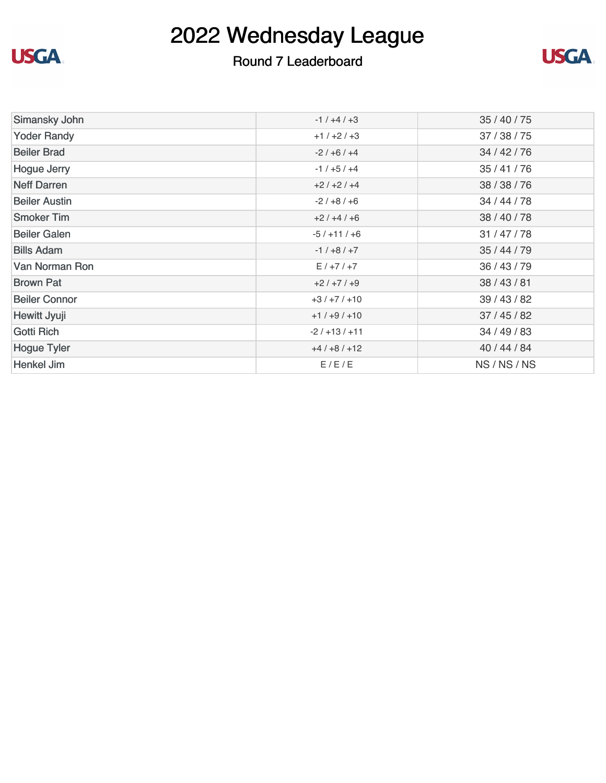

### Round 7 Leaderboard



| Simansky John        | $-1/+4/+3$   | 35 / 40 / 75 |
|----------------------|--------------|--------------|
| <b>Yoder Randy</b>   | $+1/+2/+3$   | 37 / 38 / 75 |
| <b>Beiler Brad</b>   | $-2/ +6/ +4$ | 34 / 42 / 76 |
| <b>Hogue Jerry</b>   | $-1/+5/+4$   | 35 / 41 / 76 |
| <b>Neff Darren</b>   | $+2/+2/+4$   | 38 / 38 / 76 |
| <b>Beiler Austin</b> | $-2/ +8/ +6$ | 34 / 44 / 78 |
| <b>Smoker Tim</b>    | $+2/+4/+6$   | 38 / 40 / 78 |
| <b>Beiler Galen</b>  | $-5/+11/+6$  | 31 / 47 / 78 |
| <b>Bills Adam</b>    | $-1/ +8/ +7$ | 35 / 44 / 79 |
| Van Norman Ron       | $E/+7/+7$    | 36 / 43 / 79 |
| <b>Brown Pat</b>     | $+2/+7/+9$   | 38 / 43 / 81 |
| <b>Beiler Connor</b> | $+3/+7/+10$  | 39 / 43 / 82 |
| Hewitt Jyuji         | $+1/+9/+10$  | 37/45/82     |
| Gotti Rich           | $-2/113/111$ | 34 / 49 / 83 |
| <b>Hogue Tyler</b>   | $+4/+8/+12$  | 40 / 44 / 84 |
| Henkel Jim           | E/E/E        | NS/NS/NS     |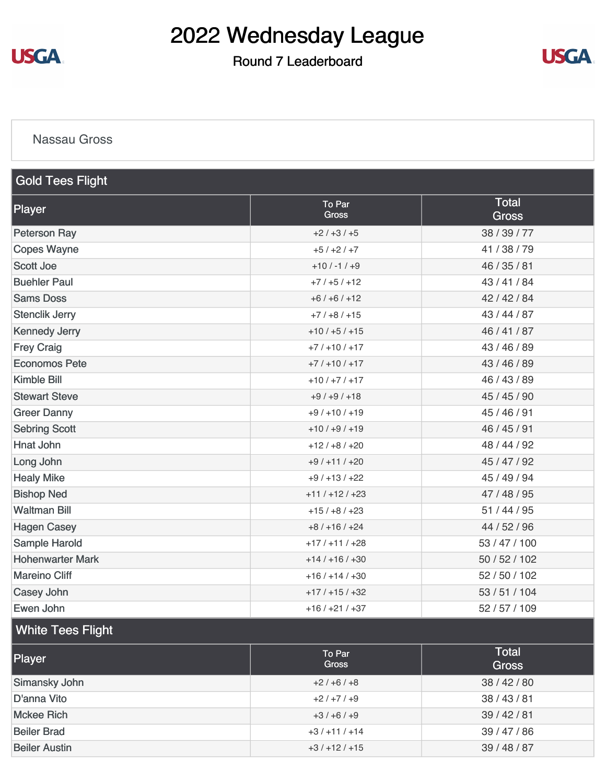

### Round 7 Leaderboard



#### [Nassau Gross](https://static.golfgenius.com/v2tournaments/8486253206542768650?called_from=&round_index=7)

| <b>Gold Tees Flight</b> |                        |                              |  |  |  |
|-------------------------|------------------------|------------------------------|--|--|--|
| Player                  | To Par<br><b>Gross</b> | <b>Total</b><br><b>Gross</b> |  |  |  |
| <b>Peterson Ray</b>     | $+2/+3/+5$             | 38 / 39 / 77                 |  |  |  |
| <b>Copes Wayne</b>      | $+5/+2/+7$             | 41/38/79                     |  |  |  |
| <b>Scott Joe</b>        | $+10/ -1/ +9$          | 46 / 35 / 81                 |  |  |  |
| <b>Buehler Paul</b>     | $+7/+5/+12$            | 43 / 41 / 84                 |  |  |  |
| <b>Sams Doss</b>        | $+6/+6/+12$            | 42 / 42 / 84                 |  |  |  |
| <b>Stenclik Jerry</b>   | $+7/+8/+15$            | 43/44/87                     |  |  |  |
| <b>Kennedy Jerry</b>    | $+10/+5/+15$           | 46 / 41 / 87                 |  |  |  |
| <b>Frey Craig</b>       | $+7/+10/+17$           | 43 / 46 / 89                 |  |  |  |
| <b>Economos Pete</b>    | $+7/+10/+17$           | 43 / 46 / 89                 |  |  |  |
| <b>Kimble Bill</b>      | $+10/ +7/ +17$         | 46 / 43 / 89                 |  |  |  |
| <b>Stewart Steve</b>    | $+9/+9/+18$            | 45 / 45 / 90                 |  |  |  |
| <b>Greer Danny</b>      | $+9/+10/+19$           | 45 / 46 / 91                 |  |  |  |
| <b>Sebring Scott</b>    | $+10/ +9/ +19$         | 46 / 45 / 91                 |  |  |  |
| <b>Hnat John</b>        | $+12/ +8/ +20$         | 48 / 44 / 92                 |  |  |  |
| Long John               | $+9/+11/+20$           | 45 / 47 / 92                 |  |  |  |
| <b>Healy Mike</b>       | $+9/+13/+22$           | 45 / 49 / 94                 |  |  |  |
| <b>Bishop Ned</b>       | $+11/+12/+23$          | 47 / 48 / 95                 |  |  |  |
| <b>Waltman Bill</b>     | $+15/ +8/ +23$         | 51 / 44 / 95                 |  |  |  |
| <b>Hagen Casey</b>      | $+8/+16/+24$           | 44 / 52 / 96                 |  |  |  |
| Sample Harold           | $+17/+11/+28$          | 53 / 47 / 100                |  |  |  |
| <b>Hohenwarter Mark</b> | $+14/+16/+30$          | 50 / 52 / 102                |  |  |  |
| <b>Mareino Cliff</b>    | $+16/+14/+30$          | 52 / 50 / 102                |  |  |  |
| <b>Casey John</b>       | $+17/+15/+32$          | 53 / 51 / 104                |  |  |  |
| Ewen John               | $+16/+21/+37$          | 52 / 57 / 109                |  |  |  |

### White Tees Flight

| Player               | To Par<br><b>Gross</b> | <b>Total</b><br><b>Gross</b> |
|----------------------|------------------------|------------------------------|
| Simansky John        | $+2/+6/+8$             | 38/42/80                     |
| D'anna Vito          | $+2/+7/+9$             | 38 / 43 / 81                 |
| <b>Mckee Rich</b>    | $+3/+6/+9$             | 39/42/81                     |
| <b>Beiler Brad</b>   | $+3/+11/+14$           | 39 / 47 / 86                 |
| <b>Beiler Austin</b> | $+3/+12/+15$           | 39 / 48 / 87                 |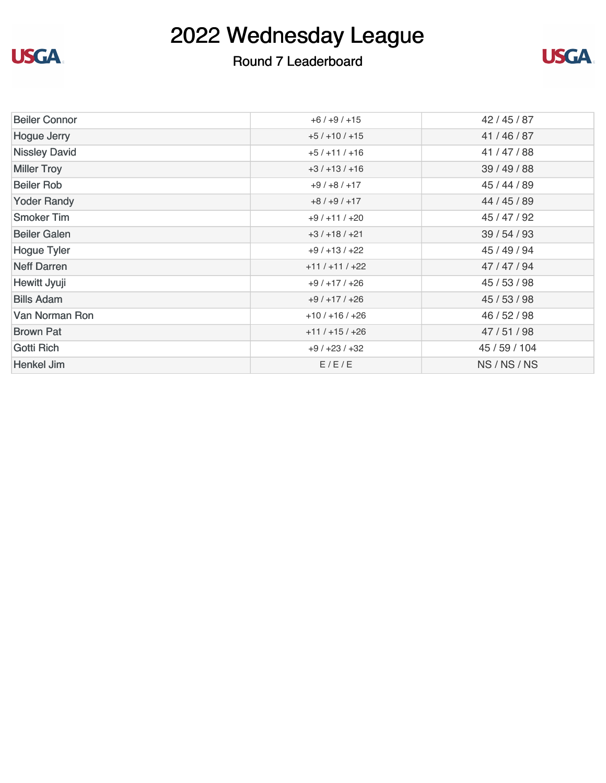

### Round 7 Leaderboard



| <b>Beiler Connor</b>  | $+6/+9/+15$   | 42 / 45 / 87  |
|-----------------------|---------------|---------------|
| <b>Hogue Jerry</b>    | $+5/+10/+15$  | 41/46/87      |
| <b>Nissley David</b>  | $+5/+11/+16$  | 41/47/88      |
| <b>Miller Troy</b>    | $+3/+13/+16$  | 39 / 49 / 88  |
| <b>Beiler Rob</b>     | $+9/+8/+17$   | 45 / 44 / 89  |
| <b>Yoder Randy</b>    | $+8/+9/+17$   | 44 / 45 / 89  |
| <b>Smoker Tim</b>     | $+9/+11/+20$  | 45 / 47 / 92  |
| <b>Beiler Galen</b>   | $+3/+18/+21$  | 39 / 54 / 93  |
| <b>Hogue Tyler</b>    | $+9/+13/+22$  | 45 / 49 / 94  |
| <b>Neff Darren</b>    | $+11/+11/+22$ | 47/47/94      |
| Hewitt Jyuji          | $+9/+17/+26$  | 45 / 53 / 98  |
| <b>Bills Adam</b>     | $+9/+17/+26$  | 45 / 53 / 98  |
| <b>Van Norman Ron</b> | $+10/+16/+26$ | 46 / 52 / 98  |
| <b>Brown Pat</b>      | $+11/+15/+26$ | 47/51/98      |
| Gotti Rich            | $+9/+23/+32$  | 45 / 59 / 104 |
| Henkel Jim            | E/E/E         | NS/NS/NS      |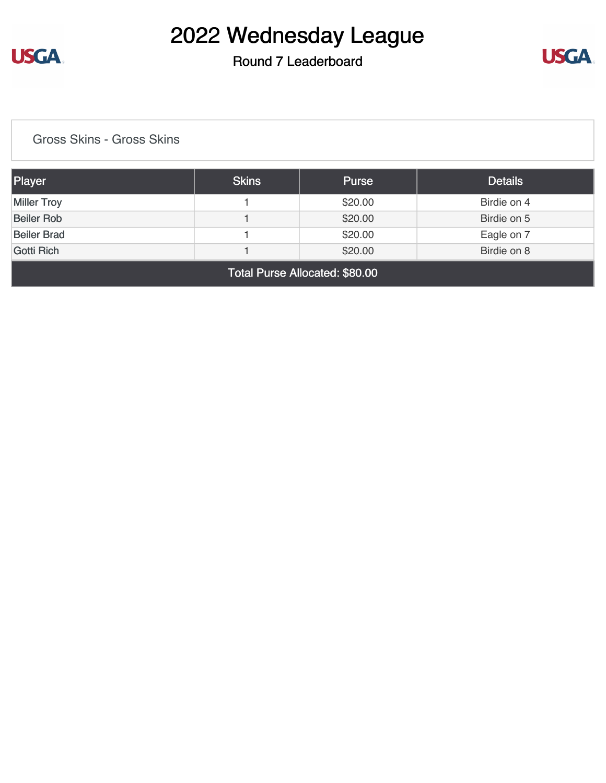

### Round 7 Leaderboard



[Gross Skins - Gross Skins](https://static.golfgenius.com/v2tournaments/8486255417746283019?called_from=&round_index=7)

| <b>Player</b>                  | <b>Skins</b> | <b>Purse</b> | <b>Details</b> |  |
|--------------------------------|--------------|--------------|----------------|--|
| <b>Miller Troy</b>             |              | \$20.00      | Birdie on 4    |  |
| <b>Beiler Rob</b>              |              | \$20.00      | Birdie on 5    |  |
| <b>Beiler Brad</b>             |              | \$20.00      | Eagle on 7     |  |
| Gotti Rich                     |              | \$20.00      | Birdie on 8    |  |
| Total Purse Allocated: \$80.00 |              |              |                |  |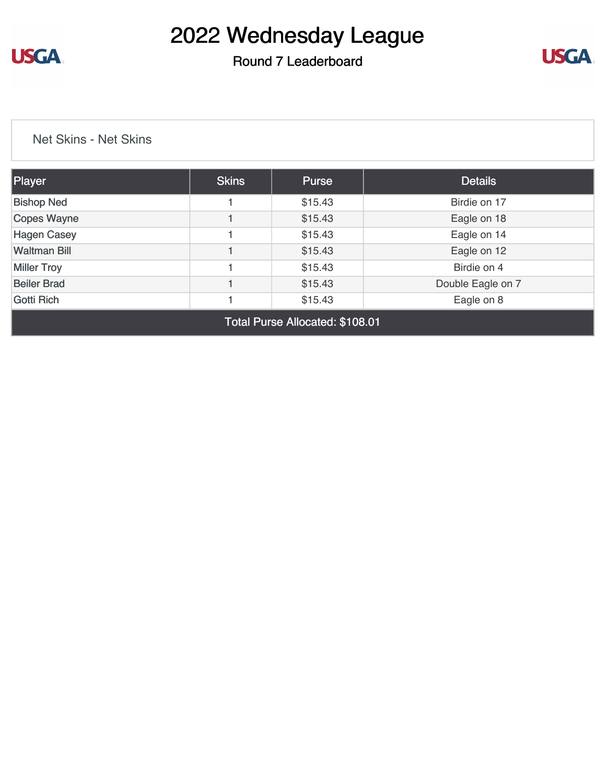

### Round 7 Leaderboard



[Net Skins - Net Skins](https://static.golfgenius.com/v2tournaments/8486256992019569164?called_from=&round_index=7)

| Player              | <b>Skins</b> | Purse   | <b>Details</b>    |
|---------------------|--------------|---------|-------------------|
| <b>Bishop Ned</b>   |              | \$15.43 | Birdie on 17      |
| Copes Wayne         |              | \$15.43 | Eagle on 18       |
| <b>Hagen Casey</b>  |              | \$15.43 | Eagle on 14       |
| <b>Waltman Bill</b> |              | \$15.43 | Eagle on 12       |
| <b>Miller Troy</b>  |              | \$15.43 | Birdie on 4       |
| <b>Beiler Brad</b>  |              | \$15.43 | Double Eagle on 7 |
| Gotti Rich          |              | \$15.43 | Eagle on 8        |

Total Purse Allocated: \$108.01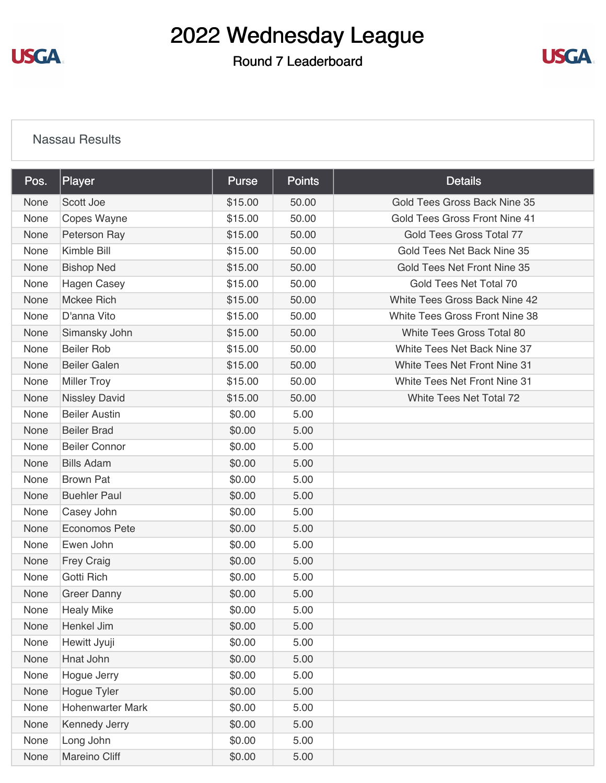**USGA** 

# 2022 Wednesday League

Round 7 Leaderboard



#### [Nassau Results](https://static.golfgenius.com/v2tournaments/8487681822119975513?called_from=&round_index=7)

| Pos. | Player               | <b>Purse</b> | <b>Points</b> | <b>Details</b>                       |
|------|----------------------|--------------|---------------|--------------------------------------|
| None | Scott Joe            | \$15.00      | 50.00         | Gold Tees Gross Back Nine 35         |
| None | Copes Wayne          | \$15.00      | 50.00         | <b>Gold Tees Gross Front Nine 41</b> |
| None | Peterson Ray         | \$15.00      | 50.00         | Gold Tees Gross Total 77             |
| None | Kimble Bill          | \$15.00      | 50.00         | Gold Tees Net Back Nine 35           |
| None | <b>Bishop Ned</b>    | \$15.00      | 50.00         | Gold Tees Net Front Nine 35          |
| None | <b>Hagen Casey</b>   | \$15.00      | 50.00         | Gold Tees Net Total 70               |
| None | <b>Mckee Rich</b>    | \$15.00      | 50.00         | White Tees Gross Back Nine 42        |
| None | D'anna Vito          | \$15.00      | 50.00         | White Tees Gross Front Nine 38       |
| None | Simansky John        | \$15.00      | 50.00         | White Tees Gross Total 80            |
| None | <b>Beiler Rob</b>    | \$15.00      | 50.00         | White Tees Net Back Nine 37          |
| None | <b>Beiler Galen</b>  | \$15.00      | 50.00         | White Tees Net Front Nine 31         |
| None | <b>Miller Troy</b>   | \$15.00      | 50.00         | White Tees Net Front Nine 31         |
| None | <b>Nissley David</b> | \$15.00      | 50.00         | White Tees Net Total 72              |
| None | <b>Beiler Austin</b> | \$0.00       | 5.00          |                                      |
| None | <b>Beiler Brad</b>   | \$0.00       | 5.00          |                                      |
| None | <b>Beiler Connor</b> | \$0.00       | 5.00          |                                      |
| None | <b>Bills Adam</b>    | \$0.00       | 5.00          |                                      |
| None | <b>Brown Pat</b>     | \$0.00       | 5.00          |                                      |
| None | <b>Buehler Paul</b>  | \$0.00       | 5.00          |                                      |
| None | Casey John           | \$0.00       | 5.00          |                                      |
| None | <b>Economos Pete</b> | \$0.00       | 5.00          |                                      |
| None | Ewen John            | \$0.00       | 5.00          |                                      |
| None | <b>Frey Craig</b>    | \$0.00       | 5.00          |                                      |
| None | <b>Gotti Rich</b>    | \$0.00       | 5.00          |                                      |
| None | <b>Greer Danny</b>   | \$0.00       | 5.00          |                                      |
| None | <b>Healy Mike</b>    | \$0.00       | 5.00          |                                      |
| None | Henkel Jim           | \$0.00       | 5.00          |                                      |
| None | Hewitt Jyuji         | \$0.00       | 5.00          |                                      |
| None | Hnat John            | \$0.00       | 5.00          |                                      |
| None | Hogue Jerry          | \$0.00       | 5.00          |                                      |
| None | Hogue Tyler          | \$0.00       | 5.00          |                                      |
| None | Hohenwarter Mark     | \$0.00       | 5.00          |                                      |
| None | Kennedy Jerry        | \$0.00       | 5.00          |                                      |
| None | Long John            | \$0.00       | 5.00          |                                      |
| None | Mareino Cliff        | \$0.00       | 5.00          |                                      |